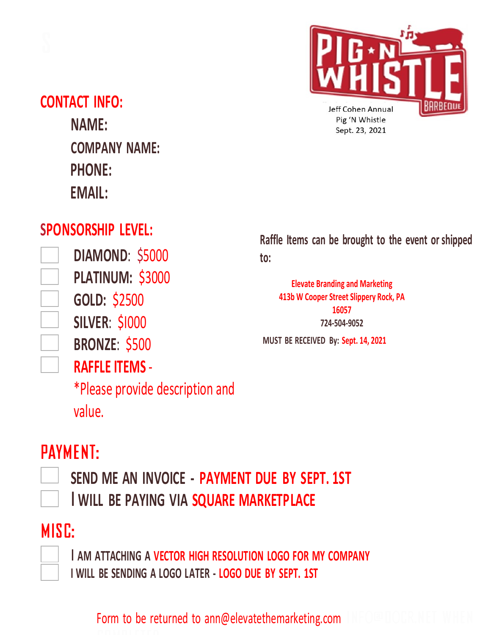



### **CONTACT INFO:**

**NAME: COMPANY NAME: PHONE: EMAIL:**

### **SPONSORSHIP LEVEL:**

**DIAMOND**: \$5000 **PLATINUM:** \$3000 **GOLD:** \$2500 **SILVER**: \$I000 **BRONZE**: \$500

**RAFFLE ITEMS** -

\*Please provide description and

**Raffle Items can be brought to the event or shipped to:**

**Elevate Branding and Marketing 413b W Cooper Street Slippery Rock, PA 16057 724-504-9052**

**MUST BE RECEIVED By: Sept. 14, 2021**

# PAYMENT:

value.

**SEND ME AN INVOICE - PAYMENT DUE BY SEPT. 1ST** I **WILL BE PAYING VIA [SQUARE MARKETPLACE](https://squareup.com/market/doc-and-r#category-e77acfa4-3272-413c-bbe7%E2%80%93c485497ed485)**

### MISC:

I **AM ATTACHING A VECTOR HIGH RESOLUTION LOGO FOR MY COMPANY I WILL BE SENDING A LOGO LATER - LOGO DUE BY SEPT. 1ST**

Form to be returned to ann@elevatethemarketing.com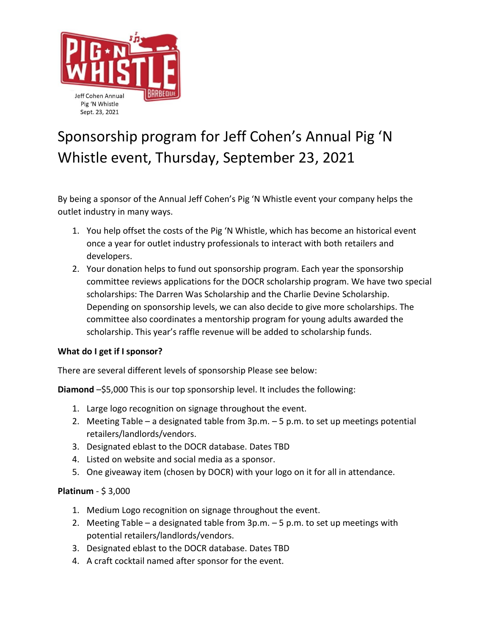

## Sponsorship program for Jeff Cohen's Annual Pig 'N Whistle event, Thursday, September 23, 2021

By being a sponsor of the Annual Jeff Cohen's Pig 'N Whistle event your company helps the outlet industry in many ways.

- 1. You help offset the costs of the Pig 'N Whistle, which has become an historical event once a year for outlet industry professionals to interact with both retailers and developers.
- 2. Your donation helps to fund out sponsorship program. Each year the sponsorship committee reviews applications for the DOCR scholarship program. We have two special scholarships: The Darren Was Scholarship and the Charlie Devine Scholarship. Depending on sponsorship levels, we can also decide to give more scholarships. The committee also coordinates a mentorship program for young adults awarded the scholarship. This year's raffle revenue will be added to scholarship funds.

#### **What do I get if I sponsor?**

There are several different levels of sponsorship Please see below:

**Diamond** –\$5,000 This is our top sponsorship level. It includes the following:

- 1. Large logo recognition on signage throughout the event.
- 2. Meeting Table a designated table from 3p.m. 5 p.m. to set up meetings potential retailers/landlords/vendors.
- 3. Designated eblast to the DOCR database. Dates TBD
- 4. Listed on website and social media as a sponsor.
- 5. One giveaway item (chosen by DOCR) with your logo on it for all in attendance.

#### **Platinum** - \$ 3,000

- 1. Medium Logo recognition on signage throughout the event.
- 2. Meeting Table a designated table from 3p.m. 5 p.m. to set up meetings with potential retailers/landlords/vendors.
- 3. Designated eblast to the DOCR database. Dates TBD
- 4. A craft cocktail named after sponsor for the event.